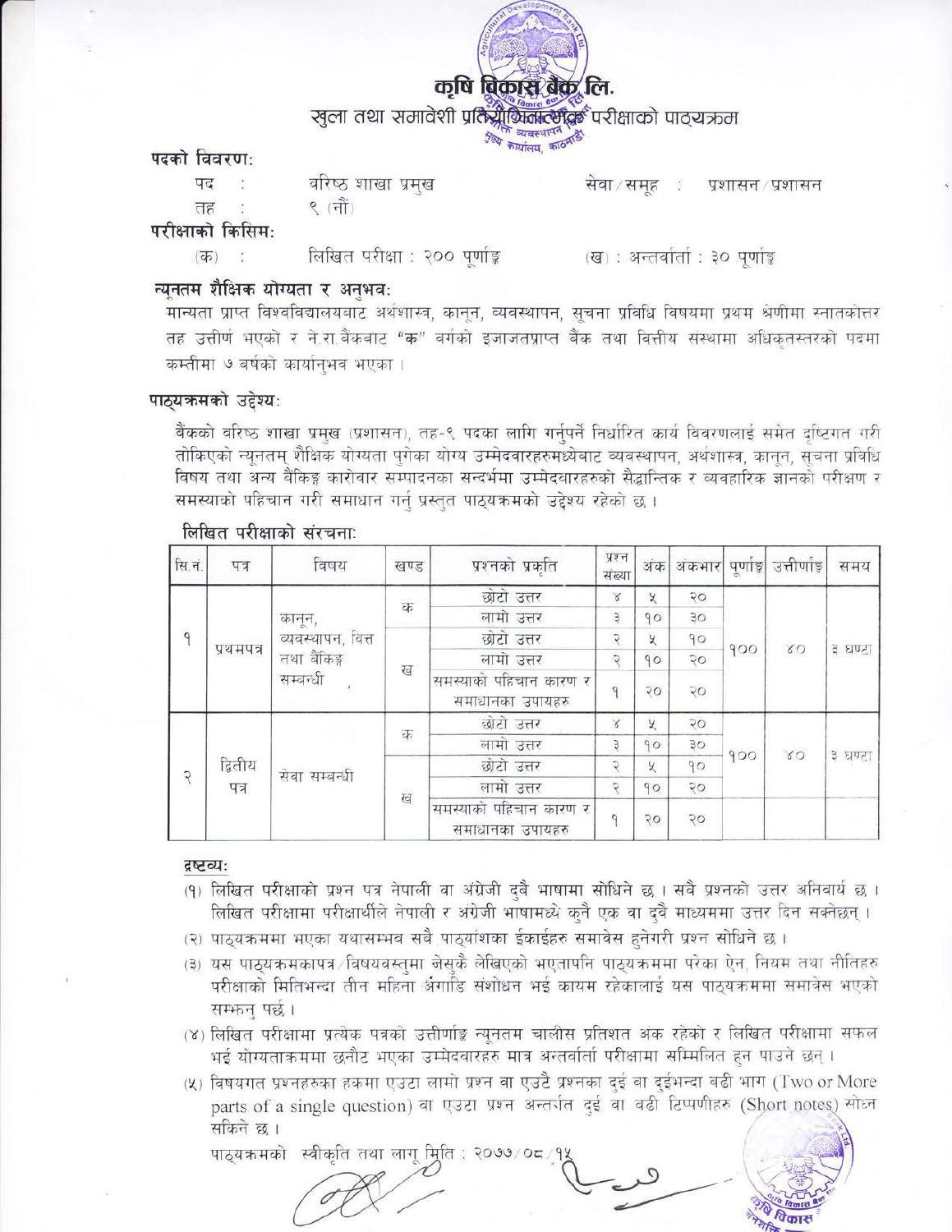

खुला तथा समावेशी प्रतिश्रीकितात्संद्रक परीक्षाको पाठ्यऋम

श्लेष्ठ व्यवस्थापन सिद्ध

पदको विवरण:

तह

पद

वरिष्ठ शाखा प्रमुख

९ $(\vec{f} \vec{f})$ 

सेवा/समह : प्रशासन / प्रशासन

परीक्षाको किसिम:

 $(\overline{d\overline{b}})$  : लिखित परीक्षा : २०० पूर्णाङ्क (ख) : अन्तर्वार्ता : ३० पूर्णाङ्

# न्यनतम शैक्षिक योग्यता र अनुभवः

मान्यता प्राप्त विश्वविद्यालयबाट अर्थशास्त्र, कानून, व्यवस्थापन, सूचना प्रविधि विषयमा प्रथम श्रेणीमा स्नातकोत्तर तह उत्तीर्ण भएको र ने.रा.बैंकबाट "क" वर्गको इजाजतप्राप्त बैंक तथा वित्तीय संस्थामा अधिकृतस्तरको पदमा कम्तीमा ७ बर्षको कार्यानभव भएका ।

### पाठ्यक्रमको उद्देश्यः

बैंकको वरिष्ठ शाखा प्रमुख (प्रशासन), तह-९ पदका लागि गर्नपर्ने निर्धारित कार्य विवरणलाई समेत दष्टिगत गरी तोकिएको न्यनतम् शैक्षिक योग्यता पगेका योग्य उम्मेदवारहरुमध्येबाट व्यवस्थापन, अर्थशास्त्र, कानून, सूचना प्रविधि विषय तथा अन्य बैंकिङ्ग कारोवार सम्पादनका सन्दर्भमा उम्मेदवारहरुको सैद्धान्तिक र व्यवहारिक ज्ञानको परीक्षण र समस्याको पहिचान गरी समाधान गर्न् प्रस्तुत पाठ्यक्रमको उद्देश्य रहेको छ।

| सि.नं.       | पत्र            | विषय                                                    | खण्ड | प्रश्नको प्रकृति                           | प्रश्न<br>संख्या | अंक            | अंकभार                                     | पूर्णाङ्क | उत्तीर्णाङ्ग | समय     |  |
|--------------|-----------------|---------------------------------------------------------|------|--------------------------------------------|------------------|----------------|--------------------------------------------|-----------|--------------|---------|--|
| $\mathsf{q}$ | प्रथमपत्र       | कानून,<br>व्यवस्थापन, वित्त<br>तथा बैंकिङ्ग<br>सम्बन्धी | क    | छोटो उत्तर                                 | $\times$         | У              | २०                                         |           | $\delta$     | ३ घण्टा |  |
|              |                 |                                                         |      | लामो उत्तर                                 | $\overline{a}$   | 90             | 30                                         |           |              |         |  |
|              |                 |                                                         | ख    | छोटो उत्तर                                 | Q                | У              | 90                                         |           |              |         |  |
|              |                 |                                                         |      | लामो उत्तर                                 | Φ                | 90             | $\sqrt{2}$                                 | 900       |              |         |  |
|              |                 |                                                         |      | समस्याको पहिचान कारण र<br>समाधानका उपायहरु |                  | $\overline{Q}$ | २०                                         |           |              |         |  |
| ς            | द्वितीय<br>पत्र | सेवा सम्बन्धी                                           | क    | छोटो उत्तर                                 | $\mathcal{C}$    | У              | $50^{\circ}$                               |           | 80           | ३ घण्टा |  |
|              |                 |                                                         |      | लामो उत्तर                                 | З                | 90             | 30                                         |           |              |         |  |
|              |                 |                                                         |      | छोटो उत्तर                                 | Q                | У              | 90                                         | 900       |              |         |  |
|              |                 |                                                         |      | लामो उत्तर                                 | C                | 90             | २०                                         |           |              |         |  |
|              |                 |                                                         |      |                                            | ख                |                | समस्याको पहिचान कारण र<br>समाधानका उपायहरु | q         | २०           | २०      |  |

### लिखित परीक्षाको संरचना:

#### द्रष्टव्यः

- (१) लिखित परीक्षाको प्रश्न पत्र नेपाली वा अंग्रेजी दुबै भाषामा सोधिने छ । सबै प्रश्नको उत्तर अनिवार्य छ । लिखित परीक्षामा परीक्षार्थीले नेपाली र अंग्रेजी भाषामध्ये कुनै एक वा दुवै माध्यममा उत्तर दिन सक्नेछन् ।
- (२) पाठ्यक्रममा भएका यथासम्भव सबै पाठ्यांशका ईकाईहरु समावेस हुनेगरी प्रश्न सोधिने छ ।
- (३) यस पाठयक्रमकापत्र विषयवस्तमा जेसकै लेखिएको भएतापनि पाठयक्रममा परेका ऐन, नियम तथा नीतिहरु परीक्षाको मितिभन्दा तीन महिना र्अगाडि संशोधन भई कायम रहेकालाई यस पाठ्यक्रममा समावेस भएको सम्भन् पर्छ।

(४) लिखित परीक्षामा प्रत्येक पत्रको उत्तीर्णाङ्क न्युनतम चालीस प्रतिशत अंक रहेको र लिखित परीक्षामा सफल भई योग्यताक्रममा छनौट भएका उम्मेदवारहरु मात्र अन्तर्वार्ता परीक्षामा सम्मिलित हुन पाउने छन्।

(५) विषयगत प्रश्नहरुका हकमा एउटा लामो प्रश्न वा एउटै प्रश्नका दुई वा दुईभन्दा बढी भाग (Two or More parts of a single question) वा एउटा प्रश्न अन्तर्गत दुई वा बढी टिप्पणीहरु (Short notes) सोध्न सकिने छ ।

पाठयक्रमको स्वीकति तथा लाग मिति : २०७७/०८/१

विकार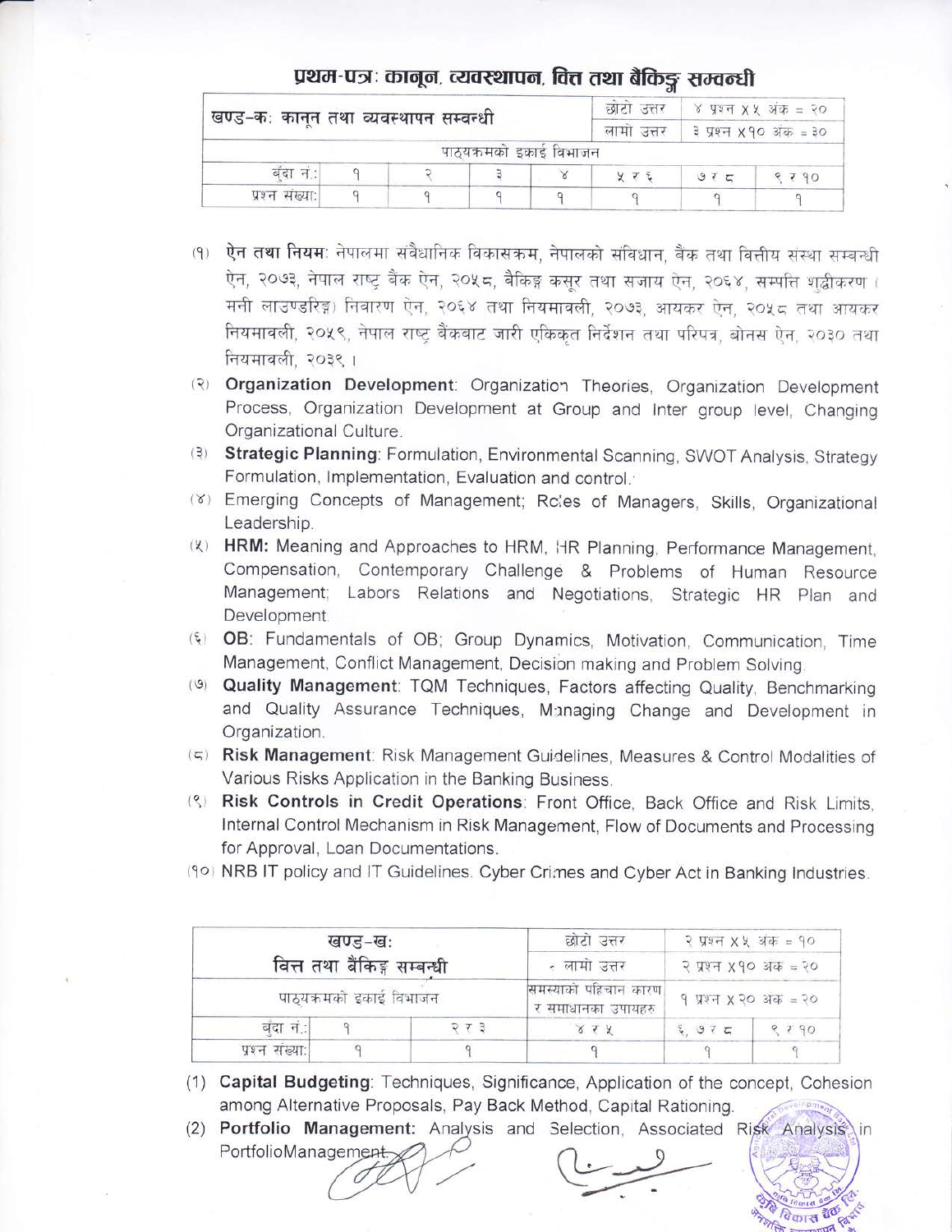## प्रथम-पत्रः कानून, व्यवस्थापन, वित्त तथा बैकिङ्ग सम्वन्धी

| खण्ड-कः कानून तथा व्यवस्थापन सम्वन्धी |  | छाटा उत्तर | ४ प्रश्न X X अंक = २०   |            |                       |     |      |
|---------------------------------------|--|------------|-------------------------|------------|-----------------------|-----|------|
|                                       |  |            |                         | लामा उत्तर | ३ प्रश्न ४१० अंक = ३० |     |      |
|                                       |  |            | पाठ्यक्रमको इकाई विभाजन |            |                       |     |      |
| बंदा न:।                              |  |            |                         |            |                       | 975 | 9790 |
| प्रश्न संख्या:।                       |  |            |                         |            |                       |     |      |

- (१) ऐन तथा नियम: नेपालमा संवैधानिक विकासक्रम, नेपालको संविधान, बैंक तथा वित्तीय संस्था सम्बन्धी ऐन, २०७३, नेपाल राष्ट्र बैंक ऐन, २०५८, बैकिङ्ग कसूर तथा सजाय ऐन, २०६४, सम्पत्ति शुद्धीकरण ( मनी लाउण्डरिङ्ग) निवारण ऐन, २०६४ तथा नियमावली, २०७३, आयकर ऐन, २०५८ तथा आयकर नियमावली, २०५९, नेपाल राष्ट्र बैंकबाट जारी एकिकृत निर्देशन तथा परिपत्र, बोनस ऐन, २०३० तथा नियमावली, २०३९ ।
- (२) Organization Development: Organization Theories, Organization Development Process, Organization Development at Group and Inter group level, Changing Organizational Culture.
- (3) Strategic Planning: Formulation, Environmental Scanning, SWOT Analysis, Strategy Formulation, Implementation, Evaluation and control.
- (Y) Emerging Concepts of Management; Rc'es of Managers, Skills, Organizational Leadership.
- () HRM: Meaning and Approaches to HRM, HR Planning, Performance Management, Compensation, Contemporary Challenge & Problems of Human Resource Management; Labors Relations and Negotiations, Strategic HR Plan and Development.
- (5) OB: Fundamentals of OB; Group Dynamics, Motivation, Communication, Time Management, Conflict Management, Decision making and Problem Solving.
- (9) Quality Management: TQM Techniques, Factors affecting Quality, Benchmarking and Quality Assurance Techniques, Managing Change and Development in Organization.
- (5) Risk Management: Risk Management Guidelines, Measures & Control Modalities of Various Risks Application in the Banking Business.
- (3) Risk Controls in Credit Operations: Front Office, Back Office and Risk Limits, Internal Control Mechanism in Risk Management, Flow of Documents and Processing for Approval, Loan Documentations.
- (90) NRB IT policy and IT Guidelines. Cyber Crimes and Cyber Act in Banking Industries.

|                | खण्ड–खः<br>वित्त तथा बैंकिङ्ग सम्बन्धी |       | छोटो उत्तर<br>- लामा उत्तर                 | २ प्रश्न X X अंक = १०<br>२ प्रश्न ४१० अंक = २०<br>9 प्रश्न X २० अंक = २० |      |  |
|----------------|----------------------------------------|-------|--------------------------------------------|--------------------------------------------------------------------------|------|--|
|                | पाठ्यक्रमको इकाई विभाजन                |       | समस्याको पहिचान कारण<br>र समाधानका उपायहरु |                                                                          |      |  |
| बंदा नं.:      |                                        | २ र ३ | 8.1.7                                      | $E_{1}975$                                                               | 9929 |  |
| प्रश्न संख्या: |                                        |       |                                            |                                                                          |      |  |

- (1) Capital Budgeting: Techniques, Significance, Application of the concept, Cohesion among Alternative Proposals, Pay Back Method, Capital Rationing.
- (2) Portfolio Management: Analysis and Selection, Associated Risk Analysis in PortfolioManagement.

पेकास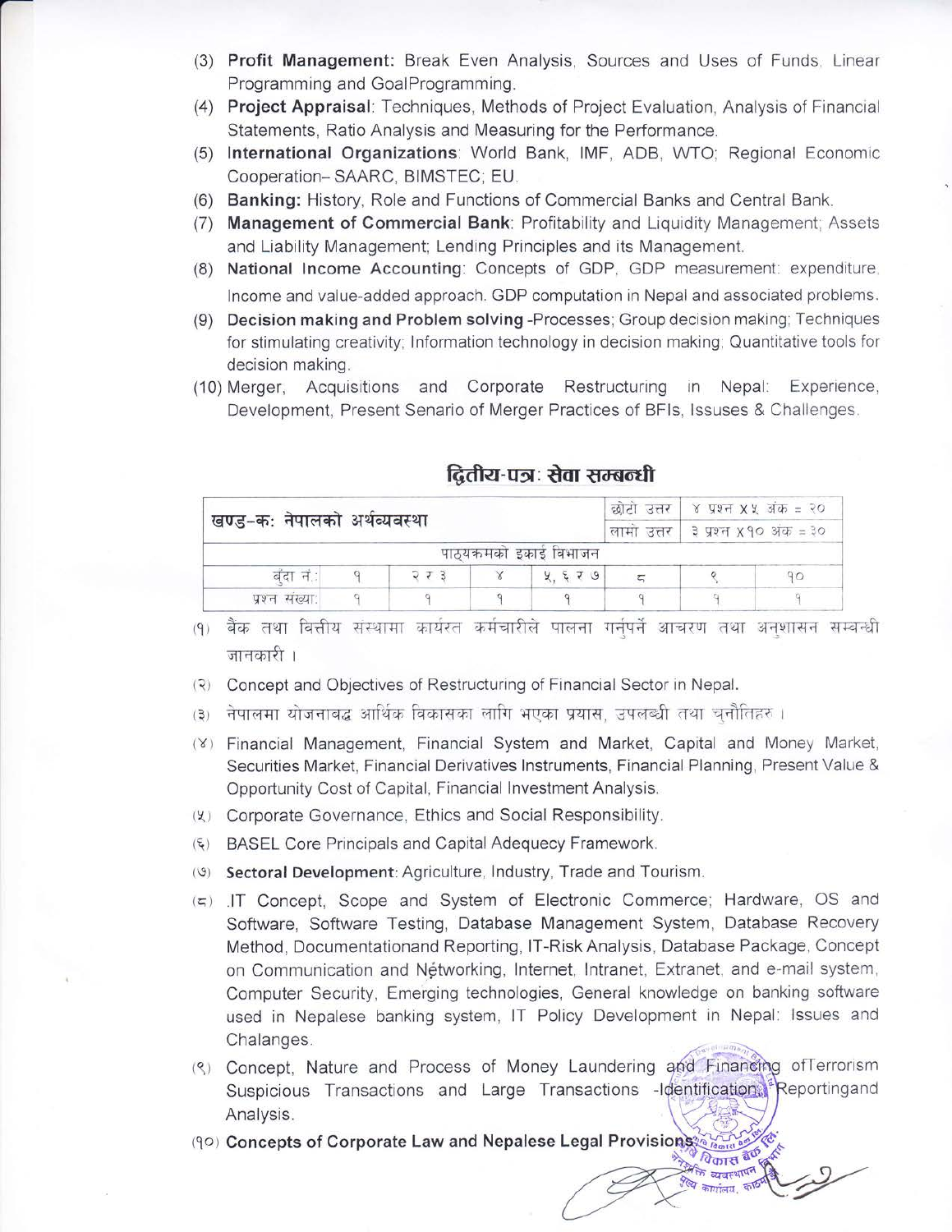- (3) Profit Management: Break Even Analysis, Sources and Uses of Funds, Linear Programming and GoalProgramming.
- (4) Project Appraisal: Techniques, Methods of Project Evaluation, Analysis of Financial Statements, Ratio Analysis and Measuring for the Performance.
- (5) International Organizations: World Bank, IMF, ADB, WTO; Regional Economic Cooperation-SAARC, BIMSTEC; EU.
- (6) Banking: History, Role and Functions of Commercial Banks and Central Bank.
- (7) Management of Commercial Bank: Profitability and Liquidity Management; Assets and Liability Management; Lending Principles and its Management.
- (8) National Income Accounting: Concepts of GDP, GDP measurement: expenditure, Income and value-added approach. GDP computation in Nepal and associated problems.
- (9) Decision making and Problem solving -Processes; Group decision making; Techniques for stimulating creativity; Information technology in decision making; Quantitative tools for decision making.
- (10) Merger, Acquisitions and Corporate Restructuring in Nepal: Experience, Development, Present Senario of Merger Practices of BFIs, Issuses & Challenges.

|                            |  |                                     | छोटी उत्तर   ४ प्रश्न X X अंक = २० |  |  |  |
|----------------------------|--|-------------------------------------|------------------------------------|--|--|--|
| खण्ड-कः नेपालको अथव्यवस्था |  | लामा उत्तर   ३ प्रश्न x १० अंक = ३० |                                    |  |  |  |
|                            |  |                                     | पाठ्यक्रमको इकाइ विभाजन            |  |  |  |
| बदा न:                     |  | ココヨ                                 | 4.579                              |  |  |  |
| पश्न संख्या:               |  |                                     |                                    |  |  |  |

## द्वितीय-पत्रः सेवा सम्बन्धी

(१) बैंक तथा वित्तीय संस्थामा कार्यरत कर्मचारीले पालना गर्नपर्ने आचरण तथा अनशासन सम्बन्धी जानकारी ।

- (२) Concept and Objectives of Restructuring of Financial Sector in Nepal.
- (३) नेपालमा योजनाबद्ध आर्थिक विकासका लागि भएका प्रयास, उपलब्धी तथा चनौतिहरु ।
- (Y) Financial Management, Financial System and Market, Capital and Money Market, Securities Market, Financial Derivatives Instruments, Financial Planning, Present Value & Opportunity Cost of Capital, Financial Investment Analysis.
- (½) Corporate Governance, Ethics and Social Responsibility.
- (६) BASEL Core Principals and Capital Adequecy Framework.
- (9) Sectoral Development: Agriculture, Industry, Trade and Tourism.
- (5) IT Concept, Scope and System of Electronic Commerce; Hardware, OS and Software, Software Testing, Database Management System, Database Recovery Method, Documentationand Reporting, IT-Risk Analysis, Database Package, Concept on Communication and Nétworking, Internet, Intranet, Extranet, and e-mail system, Computer Security, Emerging technologies, General knowledge on banking software used in Nepalese banking system, IT Policy Development in Nepal: Issues and Chalanges.
- (९) Concept. Nature and Process of Money Laundering and Financing of Terrorism Suspicious Transactions and Large Transactions -Identification, Reportingand Analysis.

स्ति व्यवस्थापन

(90) Concepts of Corporate Law and Nepalese Legal Provisions थिकास बैंक